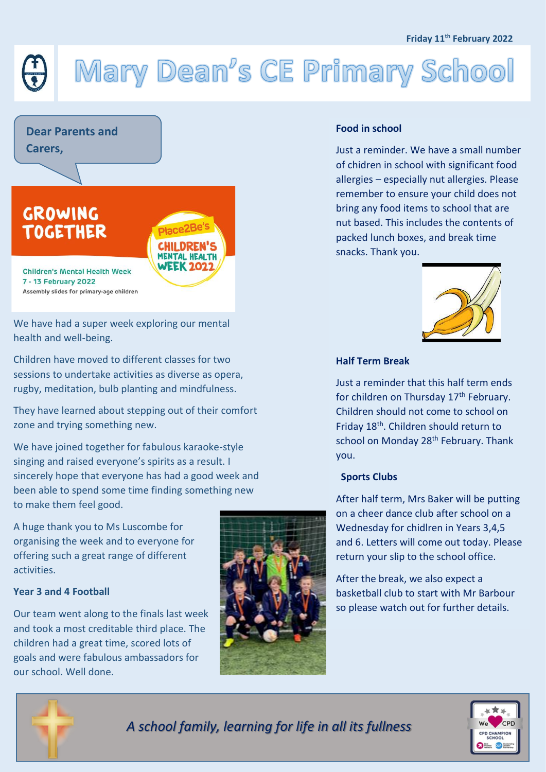#### **Friday 11th February 2022**

# Mary Dean's CE Primary School



We have had a super week exploring our mental health and well-being.

Children have moved to different classes for two sessions to undertake activities as diverse as opera, rugby, meditation, bulb planting and mindfulness.

They have learned about stepping out of their comfort zone and trying something new.

We have joined together for fabulous karaoke-style singing and raised everyone's spirits as a result. I sincerely hope that everyone has had a good week and been able to spend some time finding something new to make them feel good.

A huge thank you to Ms Luscombe for organising the week and to everyone for offering such a great range of different activities.

### **Year 3 and 4 Football**

Our team went along to the finals last week and took a most creditable third place. The children had a great time, scored lots of goals and were fabulous ambassadors for our school. Well done.



### **Food in school**

Just a reminder. We have a small number of chidren in school with significant food allergies – especially nut allergies. Please remember to ensure your child does not bring any food items to school that are nut based. This includes the contents of packed lunch boxes, and break time snacks. Thank you.



#### **Half Term Break**

Just a reminder that this half term ends for children on Thursday 17<sup>th</sup> February. Children should not come to school on Friday 18th. Children should return to school on Monday 28<sup>th</sup> February. Thank you.

### **Sports Clubs**

After half term, Mrs Baker will be putting on a cheer dance club after school on a Wednesday for chidlren in Years 3,4,5 and 6. Letters will come out today. Please return your slip to the school office.

After the break, we also expect a basketball club to start with Mr Barbour so please watch out for further details.



*A school family, learning for life in all its fullness*